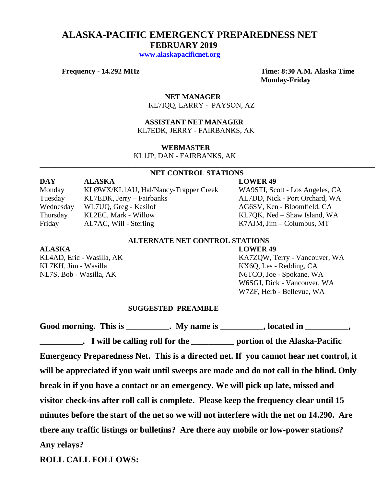# **ALASKA-PACIFIC EMERGENCY PREPAREDNESS NET FEBRUARY 2019**

 **[www.alaskapacificnet.org](http://www.alaskapacificnet.org/)**

**Frequency - 14.292 MHz Time: 8:30 A.M. Alaska Time Monday-Friday**

#### **NET MANAGER** KL7IQQ, LARRY - PAYSON, AZ

 **ASSISTANT NET MANAGER**  KL7EDK, JERRY - FAIRBANKS, AK

#### **WEBMASTER**

KL1JP, DAN - FAIRBANKS, AK

### **NET CONTROL STATIONS**

**\_\_\_\_\_\_\_\_\_\_\_\_\_\_\_\_\_\_\_\_\_\_\_\_\_\_\_\_\_\_\_\_\_\_\_\_\_\_\_\_\_\_\_\_\_\_\_\_\_\_\_\_\_\_\_\_\_\_\_\_\_\_\_\_\_\_\_\_\_\_\_\_\_\_\_\_\_\_\_\_\_\_\_\_\_\_\_\_\_\_\_**

**DAY ALASKA LOWER 49** Monday KLØWX/KL1AU, Hal/Nancy-Trapper Creek WA9STI, Scott - Los Angeles, CA Tuesday KL7EDK, Jerry – Fairbanks AL7DD, Nick - Port Orchard, WA Wednesday WL7UQ, Greg - Kasilof AG6SV, Ken - Bloomfield, CA Thursday KL2EC, Mark - Willow KL7QK, Ned – Shaw Island, WA Friday AL7AC, Will - Sterling K7AJM, Jim – Columbus, MT

KL7KH, Jim - Wasilla<br>
NL7S. Bob - Wasilla, AK<br>
NGTCO, Joe - Spokane, W.

## **ALTERNATE NET CONTROL STATIONS**

#### **ALASKA LOWER 49**

KL4AD, Eric - Wasilla, AK KA7ZQW, Terry - Vancouver, WA N6TCO, Joe - Spokane, WA W6SGJ, Dick - Vancouver, WA W7ZF, Herb - Bellevue, WA

### **SUGGESTED PREAMBLE**

Good morning. This is \_\_\_\_\_\_\_\_\_\_. My name is \_\_\_\_\_\_\_\_\_, located in \_\_\_\_\_\_\_\_\_,

**\_\_\_\_\_\_\_\_\_\_. I will be calling roll for the \_\_\_\_\_\_\_\_\_\_ portion of the Alaska-Pacific Emergency Preparedness Net. This is a directed net. If you cannot hear net control, it will be appreciated if you wait until sweeps are made and do not call in the blind. Only break in if you have a contact or an emergency. We will pick up late, missed and visitor check-ins after roll call is complete. Please keep the frequency clear until 15 minutes before the start of the net so we will not interfere with the net on 14.290. Are there any traffic listings or bulletins? Are there any mobile or low-power stations? Any relays?** 

**ROLL CALL FOLLOWS:**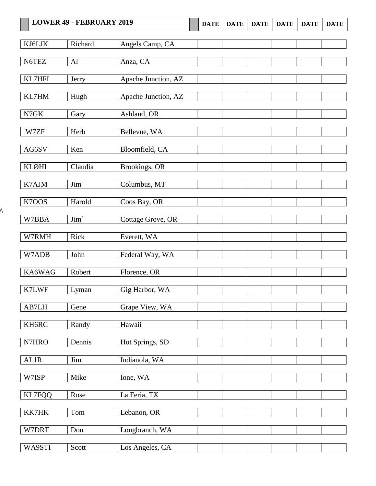| <b>LOWER 49 - FEBRUARY 2019</b> |         | <b>DATE</b>         | <b>DATE</b> | <b>DATE</b> | <b>DATE</b> | <b>DATE</b> | <b>DATE</b> |  |
|---------------------------------|---------|---------------------|-------------|-------------|-------------|-------------|-------------|--|
| KJ6LJK                          | Richard | Angels Camp, CA     |             |             |             |             |             |  |
|                                 |         |                     |             |             |             |             |             |  |
| N6TEZ                           | AI      | Anza, CA            |             |             |             |             |             |  |
| KL7HFI                          | Jerry   | Apache Junction, AZ |             |             |             |             |             |  |
| KL7HM                           | Hugh    | Apache Junction, AZ |             |             |             |             |             |  |
| N7GK                            | Gary    | Ashland, OR         |             |             |             |             |             |  |
| W7ZF                            | Herb    | Bellevue, WA        |             |             |             |             |             |  |
| AG6SV                           | Ken     | Bloomfield, CA      |             |             |             |             |             |  |
| <b>KLØHI</b>                    | Claudia | Brookings, OR       |             |             |             |             |             |  |
| K7AJM                           | Jim     | Columbus, MT        |             |             |             |             |             |  |
| K7OOS                           | Harold  | Coos Bay, OR        |             |             |             |             |             |  |
| W7BBA                           | Jim'    | Cottage Grove, OR   |             |             |             |             |             |  |
| W7RMH                           | Rick    | Everett, WA         |             |             |             |             |             |  |
| W7ADB                           | John    | Federal Way, WA     |             |             |             |             |             |  |
| KA6WAG                          | Robert  | Florence, OR        |             |             |             |             |             |  |
| K7LWF                           | Lyman   | Gig Harbor, WA      |             |             |             |             |             |  |
| AB7LH                           | Gene    | Grape View, WA      |             |             |             |             |             |  |
| KH6RC                           | Randy   | Hawaii              |             |             |             |             |             |  |
| N7HRO                           | Dennis  |                     |             |             |             |             |             |  |
|                                 |         | Hot Springs, SD     |             |             |             |             |             |  |
| AL1R                            | Jim     | Indianola, WA       |             |             |             |             |             |  |
| W7ISP                           | Mike    | Ione, WA            |             |             |             |             |             |  |
| <b>KL7FQQ</b>                   | Rose    | La Feria, TX        |             |             |             |             |             |  |
| KK7HK                           | Tom     | Lebanon, OR         |             |             |             |             |             |  |
| W7DRT                           | Don     | Longbranch, WA      |             |             |             |             |             |  |
| WA9STI                          | Scott   | Los Angeles, CA     |             |             |             |             |             |  |

 $\overline{\mathcal{N}}$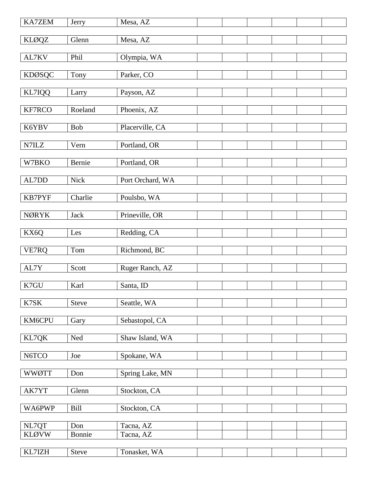| <b>KA7ZEM</b> | Jerry        | Mesa, AZ         |  |  |  |
|---------------|--------------|------------------|--|--|--|
| <b>KLØQZ</b>  | Glenn        | Mesa, AZ         |  |  |  |
|               |              |                  |  |  |  |
| AL7KV         | Phil         | Olympia, WA      |  |  |  |
| <b>KDØSQC</b> | Tony         | Parker, CO       |  |  |  |
|               |              |                  |  |  |  |
| KL7IQQ        | Larry        | Payson, AZ       |  |  |  |
| KF7RCO        | Roeland      | Phoenix, AZ      |  |  |  |
|               |              |                  |  |  |  |
| K6YBV         | Bob          | Placerville, CA  |  |  |  |
| N7ILZ         | Vern         | Portland, OR     |  |  |  |
|               |              |                  |  |  |  |
| W7BKO         | Bernie       | Portland, OR     |  |  |  |
| AL7DD         | Nick         | Port Orchard, WA |  |  |  |
|               |              |                  |  |  |  |
| <b>KB7PYF</b> | Charlie      | Poulsbo, WA      |  |  |  |
| <b>NØRYK</b>  | Jack         |                  |  |  |  |
|               |              | Prineville, OR   |  |  |  |
| KX6Q          | Les          | Redding, CA      |  |  |  |
|               | Tom          |                  |  |  |  |
| VE7RQ         |              | Richmond, BC     |  |  |  |
| AL7Y          | Scott        | Ruger Ranch, AZ  |  |  |  |
|               |              |                  |  |  |  |
| K7GU          | Karl         | Santa, ID        |  |  |  |
| K7SK          | Steve        | Seattle, WA      |  |  |  |
|               |              |                  |  |  |  |
| KM6CPU        | Gary         | Sebastopol, CA   |  |  |  |
| KL7QK         | Ned          | Shaw Island, WA  |  |  |  |
|               |              |                  |  |  |  |
| N6TCO         | Joe          | Spokane, WA      |  |  |  |
| <b>WWØTT</b>  | Don          | Spring Lake, MN  |  |  |  |
|               |              |                  |  |  |  |
| AK7YT         | Glenn        | Stockton, CA     |  |  |  |
|               |              |                  |  |  |  |
| WA6PWP        | Bill         | Stockton, CA     |  |  |  |
| NL7QT         | Don          | Tacna, AZ        |  |  |  |
| <b>KLØVW</b>  | Bonnie       | Tacna, AZ        |  |  |  |
|               |              |                  |  |  |  |
| KL7IZH        | <b>Steve</b> | Tonasket, WA     |  |  |  |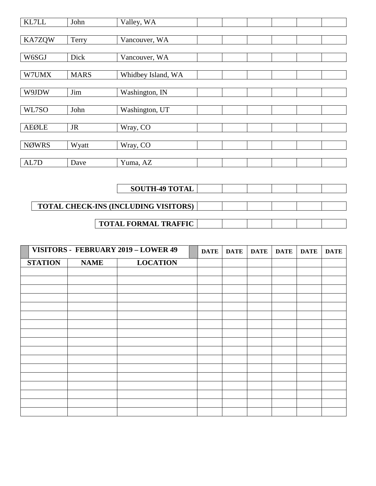| KL7LL        | John        | Valley, WA         |
|--------------|-------------|--------------------|
|              |             |                    |
| KA7ZQW       | Terry       | Vancouver, WA      |
|              |             |                    |
| W6SGJ        | Dick        | Vancouver, WA      |
|              |             |                    |
| W7UMX        | <b>MARS</b> | Whidbey Island, WA |
|              |             |                    |
| W9JDW        | Jim         | Washington, IN     |
|              |             |                    |
| WL7SO        | John        | Washington, UT     |
|              |             |                    |
| <b>AEØLE</b> | <b>JR</b>   | Wray, CO           |
|              |             |                    |
| <b>NØWRS</b> | Wyatt       | Wray, CO           |
|              |             |                    |
| AL7D         | Dave        | Yuma, AZ           |

| <b>SOUTH-49 TOTAL</b>                       |  |  |  |
|---------------------------------------------|--|--|--|
|                                             |  |  |  |
| <b>TOTAL CHECK-INS (INCLUDING VISITORS)</b> |  |  |  |
| <b>TOTAL FORMAL TRAFFIC</b>                 |  |  |  |

|                | VISITORS - FEBRUARY 2019 - LOWER 49 |                 | <b>DATE</b> | <b>DATE</b> | <b>DATE</b> | <b>DATE</b> | <b>DATE</b> | <b>DATE</b> |
|----------------|-------------------------------------|-----------------|-------------|-------------|-------------|-------------|-------------|-------------|
| <b>STATION</b> | <b>NAME</b>                         | <b>LOCATION</b> |             |             |             |             |             |             |
|                |                                     |                 |             |             |             |             |             |             |
|                |                                     |                 |             |             |             |             |             |             |
|                |                                     |                 |             |             |             |             |             |             |
|                |                                     |                 |             |             |             |             |             |             |
|                |                                     |                 |             |             |             |             |             |             |
|                |                                     |                 |             |             |             |             |             |             |
|                |                                     |                 |             |             |             |             |             |             |
|                |                                     |                 |             |             |             |             |             |             |
|                |                                     |                 |             |             |             |             |             |             |
|                |                                     |                 |             |             |             |             |             |             |
|                |                                     |                 |             |             |             |             |             |             |
|                |                                     |                 |             |             |             |             |             |             |
|                |                                     |                 |             |             |             |             |             |             |
|                |                                     |                 |             |             |             |             |             |             |
|                |                                     |                 |             |             |             |             |             |             |
|                |                                     |                 |             |             |             |             |             |             |
|                |                                     |                 |             |             |             |             |             |             |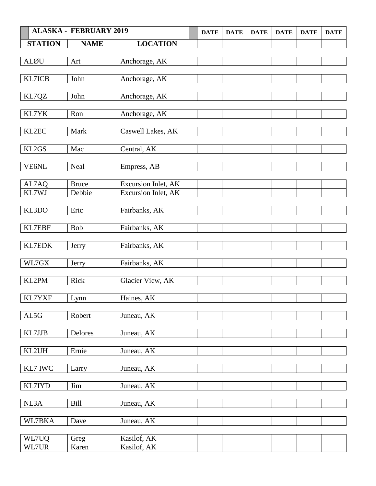| <b>ALASKA - FEBRUARY 2019</b> |                                                                                                                                           | <b>DATE</b>                                                                                                                                                                                                                                                                      | <b>DATE</b> | <b>DATE</b> | <b>DATE</b> | <b>DATE</b> | <b>DATE</b> |
|-------------------------------|-------------------------------------------------------------------------------------------------------------------------------------------|----------------------------------------------------------------------------------------------------------------------------------------------------------------------------------------------------------------------------------------------------------------------------------|-------------|-------------|-------------|-------------|-------------|
| <b>NAME</b>                   | <b>LOCATION</b>                                                                                                                           |                                                                                                                                                                                                                                                                                  |             |             |             |             |             |
|                               |                                                                                                                                           |                                                                                                                                                                                                                                                                                  |             |             |             |             |             |
|                               |                                                                                                                                           |                                                                                                                                                                                                                                                                                  |             |             |             |             |             |
|                               |                                                                                                                                           |                                                                                                                                                                                                                                                                                  |             |             |             |             |             |
|                               |                                                                                                                                           |                                                                                                                                                                                                                                                                                  |             |             |             |             |             |
| John                          | Anchorage, AK                                                                                                                             |                                                                                                                                                                                                                                                                                  |             |             |             |             |             |
|                               |                                                                                                                                           |                                                                                                                                                                                                                                                                                  |             |             |             |             |             |
|                               |                                                                                                                                           |                                                                                                                                                                                                                                                                                  |             |             |             |             |             |
|                               |                                                                                                                                           |                                                                                                                                                                                                                                                                                  |             |             |             |             |             |
|                               |                                                                                                                                           |                                                                                                                                                                                                                                                                                  |             |             |             |             |             |
| Mac                           | Central, AK                                                                                                                               |                                                                                                                                                                                                                                                                                  |             |             |             |             |             |
|                               |                                                                                                                                           |                                                                                                                                                                                                                                                                                  |             |             |             |             |             |
|                               |                                                                                                                                           |                                                                                                                                                                                                                                                                                  |             |             |             |             |             |
|                               |                                                                                                                                           |                                                                                                                                                                                                                                                                                  |             |             |             |             |             |
|                               |                                                                                                                                           |                                                                                                                                                                                                                                                                                  |             |             |             |             |             |
|                               |                                                                                                                                           |                                                                                                                                                                                                                                                                                  |             |             |             |             |             |
| Eric                          | Fairbanks, AK                                                                                                                             |                                                                                                                                                                                                                                                                                  |             |             |             |             |             |
|                               |                                                                                                                                           |                                                                                                                                                                                                                                                                                  |             |             |             |             |             |
|                               |                                                                                                                                           |                                                                                                                                                                                                                                                                                  |             |             |             |             |             |
|                               |                                                                                                                                           |                                                                                                                                                                                                                                                                                  |             |             |             |             |             |
|                               |                                                                                                                                           |                                                                                                                                                                                                                                                                                  |             |             |             |             |             |
|                               |                                                                                                                                           |                                                                                                                                                                                                                                                                                  |             |             |             |             |             |
|                               |                                                                                                                                           |                                                                                                                                                                                                                                                                                  |             |             |             |             |             |
| Rick                          | Glacier View, AK                                                                                                                          |                                                                                                                                                                                                                                                                                  |             |             |             |             |             |
|                               |                                                                                                                                           |                                                                                                                                                                                                                                                                                  |             |             |             |             |             |
|                               |                                                                                                                                           |                                                                                                                                                                                                                                                                                  |             |             |             |             |             |
|                               |                                                                                                                                           |                                                                                                                                                                                                                                                                                  |             |             |             |             |             |
|                               |                                                                                                                                           |                                                                                                                                                                                                                                                                                  |             |             |             |             |             |
| Delores                       | Juneau, AK                                                                                                                                |                                                                                                                                                                                                                                                                                  |             |             |             |             |             |
|                               |                                                                                                                                           |                                                                                                                                                                                                                                                                                  |             |             |             |             |             |
|                               |                                                                                                                                           |                                                                                                                                                                                                                                                                                  |             |             |             |             |             |
|                               |                                                                                                                                           |                                                                                                                                                                                                                                                                                  |             |             |             |             |             |
|                               |                                                                                                                                           |                                                                                                                                                                                                                                                                                  |             |             |             |             |             |
| Jim                           | Juneau, AK                                                                                                                                |                                                                                                                                                                                                                                                                                  |             |             |             |             |             |
|                               |                                                                                                                                           |                                                                                                                                                                                                                                                                                  |             |             |             |             |             |
| Bill                          | Juneau, AK                                                                                                                                |                                                                                                                                                                                                                                                                                  |             |             |             |             |             |
|                               |                                                                                                                                           |                                                                                                                                                                                                                                                                                  |             |             |             |             |             |
|                               |                                                                                                                                           |                                                                                                                                                                                                                                                                                  |             |             |             |             |             |
|                               |                                                                                                                                           |                                                                                                                                                                                                                                                                                  |             |             |             |             |             |
| Karen                         | Kasilof, AK                                                                                                                               |                                                                                                                                                                                                                                                                                  |             |             |             |             |             |
|                               | Art<br>John<br>Ron<br>Mark<br>Neal<br><b>Bruce</b><br>Debbie<br>Bob<br>Jerry<br>Jerry<br>Lynn<br>Robert<br>Ernie<br>Larry<br>Dave<br>Greg | Anchorage, AK<br>Anchorage, AK<br>Anchorage, AK<br>Caswell Lakes, AK<br>Empress, AB<br><b>Excursion Inlet, AK</b><br>Excursion Inlet, AK<br>Fairbanks, AK<br>Fairbanks, AK<br>Fairbanks, AK<br>Haines, AK<br>Juneau, AK<br>Juneau, AK<br>Juneau, AK<br>Juneau, AK<br>Kasilof, AK |             |             |             |             |             |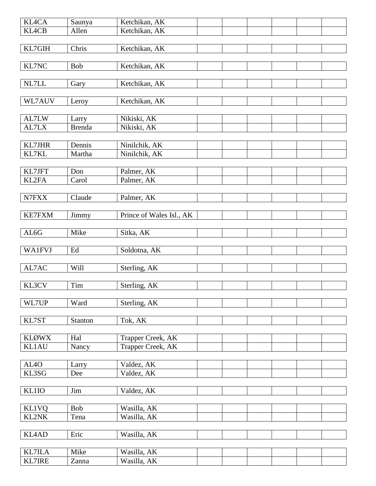| <b>KL4CA</b>                   | Saunya        | Ketchikan, AK              |  |  |  |
|--------------------------------|---------------|----------------------------|--|--|--|
| <b>KL4CB</b>                   |               |                            |  |  |  |
|                                | Allen         | Ketchikan, AK              |  |  |  |
|                                |               |                            |  |  |  |
| KL7GIH                         | Chris         | Ketchikan, AK              |  |  |  |
|                                |               |                            |  |  |  |
| KL7NC                          | Bob           | Ketchikan, AK              |  |  |  |
|                                |               |                            |  |  |  |
| NL7LL                          | Gary          | Ketchikan, AK              |  |  |  |
|                                |               |                            |  |  |  |
| WL7AUV                         | Leroy         | Ketchikan, AK              |  |  |  |
|                                |               |                            |  |  |  |
| AL7LW                          | Larry         | Nikiski, AK                |  |  |  |
| AL7LX                          | <b>Brenda</b> | Nikiski, AK                |  |  |  |
|                                |               |                            |  |  |  |
|                                |               |                            |  |  |  |
| <b>KL7JHR</b>                  | Dennis        | Ninilchik, AK              |  |  |  |
| KL7KL                          | Martha        | Ninilchik, AK              |  |  |  |
|                                |               |                            |  |  |  |
| KL7JFT                         | Don           | Palmer, AK                 |  |  |  |
| KL2FA                          | Carol         | Palmer, AK                 |  |  |  |
|                                |               |                            |  |  |  |
| N7FXX                          | Claude        | Palmer, AK                 |  |  |  |
|                                |               |                            |  |  |  |
| <b>KE7FXM</b>                  | Jimmy         | Prince of Wales Isl., AK   |  |  |  |
|                                |               |                            |  |  |  |
| AL6G                           | Mike          |                            |  |  |  |
|                                |               | Sitka, AK                  |  |  |  |
|                                |               |                            |  |  |  |
| <b>WA1FVJ</b>                  | Ed            | Soldotna, AK               |  |  |  |
|                                |               |                            |  |  |  |
|                                |               |                            |  |  |  |
| AL7AC                          | Will          | Sterling, AK               |  |  |  |
|                                |               |                            |  |  |  |
| KL3CV                          | Tim           | Sterling, AK               |  |  |  |
|                                |               |                            |  |  |  |
| WL7UP                          | Ward          | Sterling, AK               |  |  |  |
|                                |               |                            |  |  |  |
|                                |               |                            |  |  |  |
| KL7ST                          | Stanton       | Tok, AK                    |  |  |  |
|                                |               |                            |  |  |  |
| <b>KLØWX</b>                   | Hal           | Trapper Creek, AK          |  |  |  |
| <b>KL1AU</b>                   | Nancy         | Trapper Creek, AK          |  |  |  |
|                                |               |                            |  |  |  |
| AL <sub>4</sub> O              | Larry         | Valdez, AK                 |  |  |  |
| KL3SG                          | Dee           | Valdez, AK                 |  |  |  |
|                                |               |                            |  |  |  |
| KL1IO                          | Jim           | Valdez, AK                 |  |  |  |
|                                |               |                            |  |  |  |
| <b>KL1VQ</b>                   | <b>Bob</b>    | Wasilla, AK                |  |  |  |
| KL2NK                          | Tena          | Wasilla, AK                |  |  |  |
|                                |               |                            |  |  |  |
|                                |               |                            |  |  |  |
| <b>KL4AD</b>                   | Eric          | Wasilla, AK                |  |  |  |
|                                |               |                            |  |  |  |
| <b>KL7ILA</b><br><b>KL7IRE</b> | Mike<br>Zanna | Wasilla, AK<br>Wasilla, AK |  |  |  |